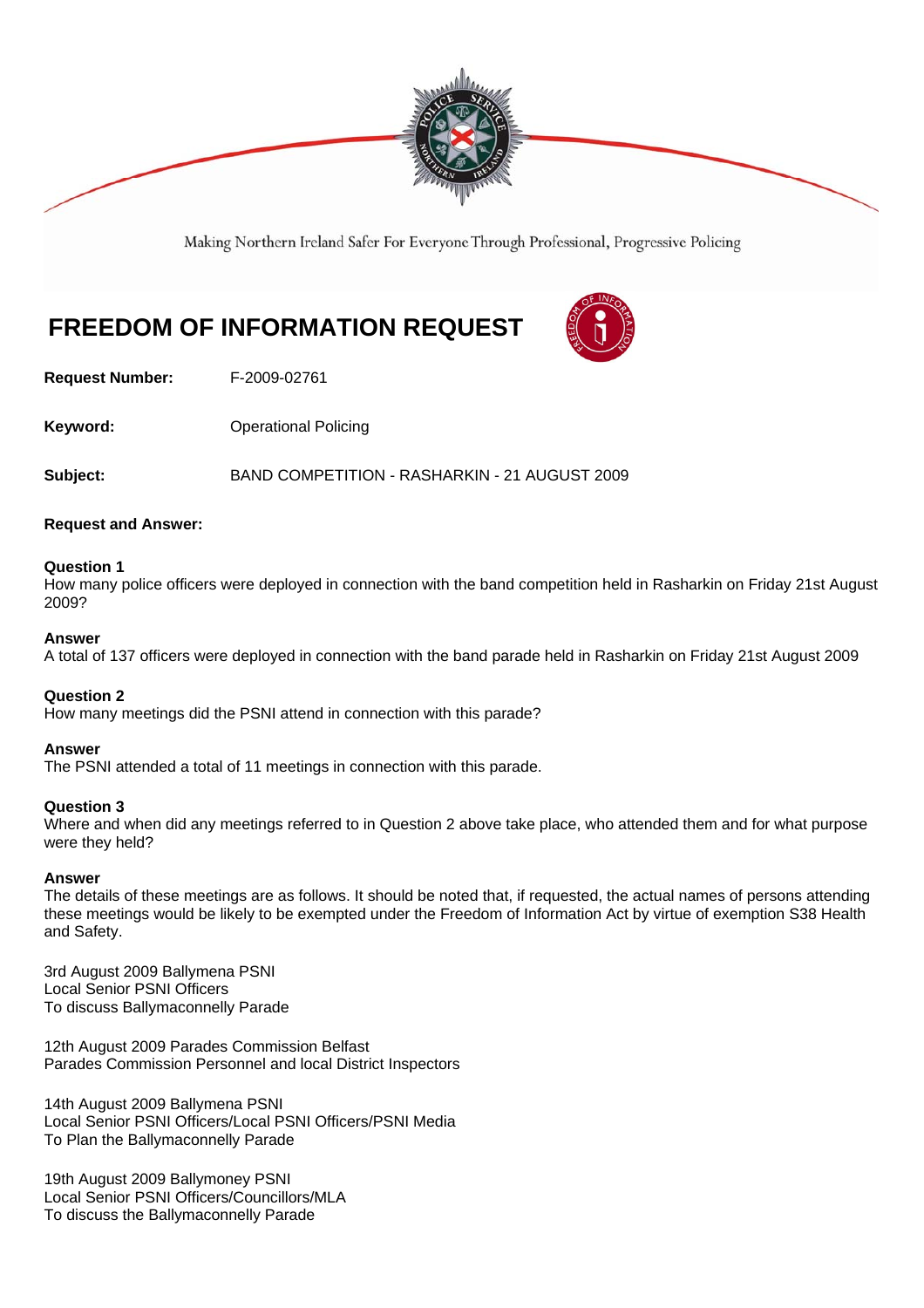

Making Northern Ireland Safer For Everyone Through Professional, Progressive Policing

# **FREEDOM OF INFORMATION REQUEST**



**Request Number:** F-2009-02761

**Keyword: Conservery Operational Policing** 

**Subject:** BAND COMPETITION - RASHARKIN - 21 AUGUST 2009

# **Request and Answer:**

#### **Question 1**

How many police officers were deployed in connection with the band competition held in Rasharkin on Friday 21st August 2009?

#### **Answer**

A total of 137 officers were deployed in connection with the band parade held in Rasharkin on Friday 21st August 2009

# **Question 2**

How many meetings did the PSNI attend in connection with this parade?

#### **Answer**

The PSNI attended a total of 11 meetings in connection with this parade.

# **Question 3**

Where and when did any meetings referred to in Question 2 above take place, who attended them and for what purpose were they held?

#### **Answer**

The details of these meetings are as follows. It should be noted that, if requested, the actual names of persons attending these meetings would be likely to be exempted under the Freedom of Information Act by virtue of exemption S38 Health and Safety.

3rd August 2009 Ballymena PSNI Local Senior PSNI Officers To discuss Ballymaconnelly Parade

12th August 2009 Parades Commission Belfast Parades Commission Personnel and local District Inspectors

14th August 2009 Ballymena PSNI Local Senior PSNI Officers/Local PSNI Officers/PSNI Media To Plan the Ballymaconnelly Parade

19th August 2009 Ballymoney PSNI Local Senior PSNI Officers/Councillors/MLA To discuss the Ballymaconnelly Parade